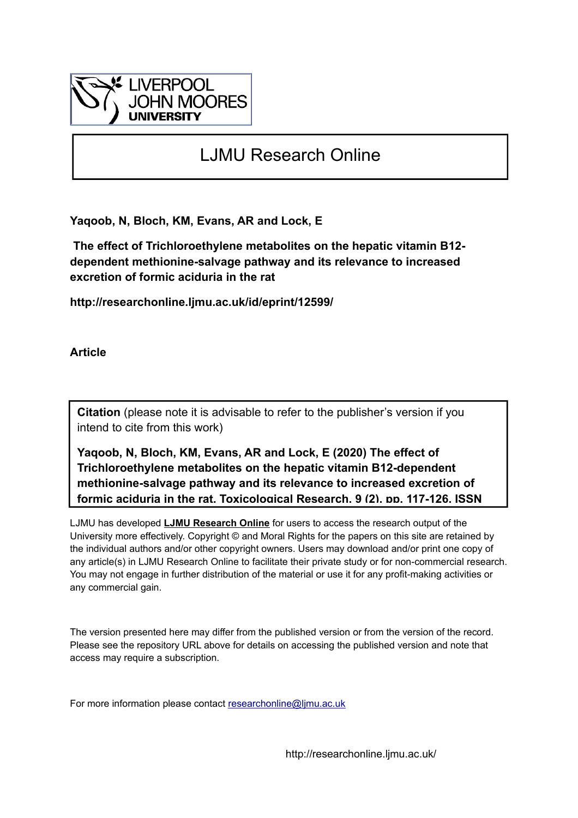

# LJMU Research Online

**Yaqoob, N, Bloch, KM, Evans, AR and Lock, E**

 **The effect of Trichloroethylene metabolites on the hepatic vitamin B12 dependent methionine-salvage pathway and its relevance to increased excretion of formic aciduria in the rat**

**http://researchonline.ljmu.ac.uk/id/eprint/12599/**

**Article**

**Citation** (please note it is advisable to refer to the publisher's version if you intend to cite from this work)

**Yaqoob, N, Bloch, KM, Evans, AR and Lock, E (2020) The effect of Trichloroethylene metabolites on the hepatic vitamin B12-dependent methionine-salvage pathway and its relevance to increased excretion of formic aciduria in the rat. Toxicological Research, 9 (2). pp. 117-126. ISSN** 

LJMU has developed **[LJMU Research Online](http://researchonline.ljmu.ac.uk/)** for users to access the research output of the University more effectively. Copyright © and Moral Rights for the papers on this site are retained by the individual authors and/or other copyright owners. Users may download and/or print one copy of any article(s) in LJMU Research Online to facilitate their private study or for non-commercial research. You may not engage in further distribution of the material or use it for any profit-making activities or any commercial gain.

The version presented here may differ from the published version or from the version of the record. Please see the repository URL above for details on accessing the published version and note that access may require a subscription.

For more information please contact researchonline@limu.ac.uk

http://researchonline.ljmu.ac.uk/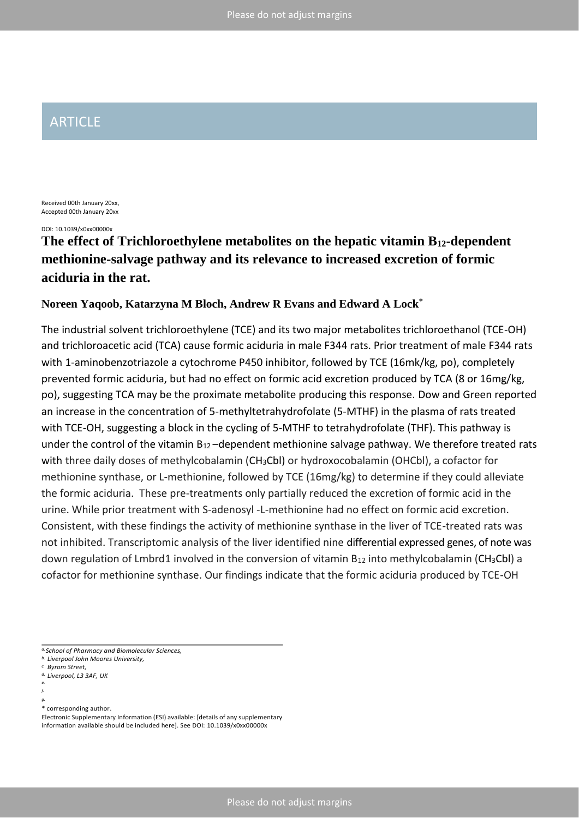# ARTICLE

Received 00th January 20xx, Accepted 00th January 20xx

DOI: 10.1039/x0xx00000x

# **The effect of Trichloroethylene metabolites on the hepatic vitamin B12-dependent methionine-salvage pathway and its relevance to increased excretion of formic aciduria in the rat.**

# **Noreen Yaqoob, Katarzyna M Bloch, Andrew R Evans and Edward A Lock\***

The industrial solvent trichloroethylene (TCE) and its two major metabolites trichloroethanol (TCE-OH) and trichloroacetic acid (TCA) cause formic aciduria in male F344 rats. Prior treatment of male F344 rats with 1-aminobenzotriazole a cytochrome P450 inhibitor, followed by TCE (16mk/kg, po), completely prevented formic aciduria, but had no effect on formic acid excretion produced by TCA (8 or 16mg/kg, po), suggesting TCA may be the proximate metabolite producing this response. Dow and Green reported an increase in the concentration of 5-methyltetrahydrofolate (5-MTHF) in the plasma of rats treated with TCE-OH, suggesting a block in the cycling of 5-MTHF to tetrahydrofolate (THF). This pathway is under the control of the vitamin  $B_{12}$ -dependent methionine salvage pathway. We therefore treated rats with three daily doses of methylcobalamin (CH<sub>3</sub>CbI) or hydroxocobalamin (OHCbI), a cofactor for methionine synthase, or L-methionine, followed by TCE (16mg/kg) to determine if they could alleviate the formic aciduria. These pre-treatments only partially reduced the excretion of formic acid in the urine. While prior treatment with S-adenosyl -L-methionine had no effect on formic acid excretion. Consistent, with these findings the activity of methionine synthase in the liver of TCE-treated rats was not inhibited. Transcriptomic analysis of the liver identified nine differential expressed genes, of note was down regulation of Lmbrd1 involved in the conversion of vitamin  $B_{12}$  into methylcobalamin (CH<sub>3</sub>Cbl) a cofactor for methionine synthase. Our findings indicate that the formic aciduria produced by TCE-OH

*f.*

*a.School of Pharmacy and Biomolecular Sciences,*

*b. Liverpool John Moores University, c. Byrom Street,*

*d. Liverpool, L3 3AF, UK* 

*e.*

*g.*

<sup>\*</sup> corresponding author.

Electronic Supplementary Information (ESI) available: [details of any supplementary information available should be included here]. See DOI: 10.1039/x0xx00000x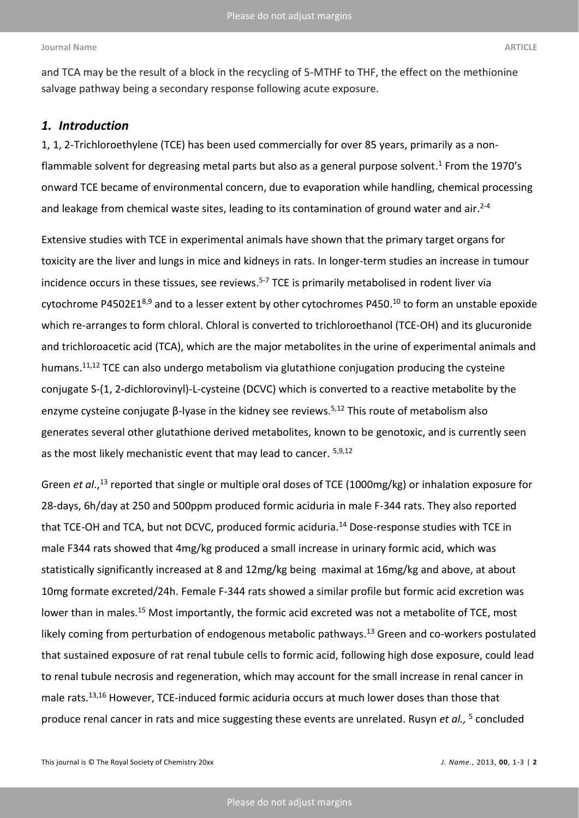and TCA may be the result of a block in the recycling of 5-MTHF to THF, the effect on the methionine salvage pathway being a secondary response following acute exposure.

# *1. Introduction*

1, 1, 2-Trichloroethylene (TCE) has been used commercially for over 85 years, primarily as a nonflammable solvent for degreasing metal parts but also as a general purpose solvent. <sup>1</sup> From the 1970's onward TCE became of environmental concern, due to evaporation while handling, chemical processing and leakage from chemical waste sites, leading to its contamination of ground water and air.<sup>2-4</sup>

Extensive studies with TCE in experimental animals have shown that the primary target organs for toxicity are the liver and lungs in mice and kidneys in rats. In longer-term studies an increase in tumour incidence occurs in these tissues, see reviews. 5-7 TCE is primarily metabolised in rodent liver via cytochrome P4502E1<sup>8,9</sup> and to a lesser extent by other cytochromes P450.<sup>10</sup> to form an unstable epoxide which re-arranges to form chloral. Chloral is converted to trichloroethanol (TCE-OH) and its glucuronide and trichloroacetic acid (TCA), which are the major metabolites in the urine of experimental animals and humans.<sup>11,12</sup> TCE can also undergo metabolism via glutathione conjugation producing the cysteine conjugate S-(1, 2-dichlorovinyl)-L-cysteine (DCVC) which is converted to a reactive metabolite by the enzyme cysteine conjugate β-lyase in the kidney see reviews.<sup>5,12</sup> This route of metabolism also generates several other glutathione derived metabolites, known to be genotoxic, and is currently seen as the most likely mechanistic event that may lead to cancer. 5,9,12

Green *et al*., <sup>13</sup> reported that single or multiple oral doses of TCE (1000mg/kg) or inhalation exposure for 28-days, 6h/day at 250 and 500ppm produced formic aciduria in male F-344 rats. They also reported that TCE-OH and TCA, but not DCVC, produced formic aciduria.<sup>14</sup> Dose-response studies with TCE in male F344 rats showed that 4mg/kg produced a small increase in urinary formic acid, which was statistically significantly increased at 8 and 12mg/kg being maximal at 16mg/kg and above, at about 10mg formate excreted/24h. Female F-344 rats showed a similar profile but formic acid excretion was lower than in males.<sup>15</sup> Most importantly, the formic acid excreted was not a metabolite of TCE, most likely coming from perturbation of endogenous metabolic pathways.<sup>13</sup> Green and co-workers postulated that sustained exposure of rat renal tubule cells to formic acid, following high dose exposure, could lead to renal tubule necrosis and regeneration, which may account for the small increase in renal cancer in male rats. 13,16 However, TCE-induced formic aciduria occurs at much lower doses than those that produce renal cancer in rats and mice suggesting these events are unrelated. Rusyn *et al.,* <sup>5</sup> concluded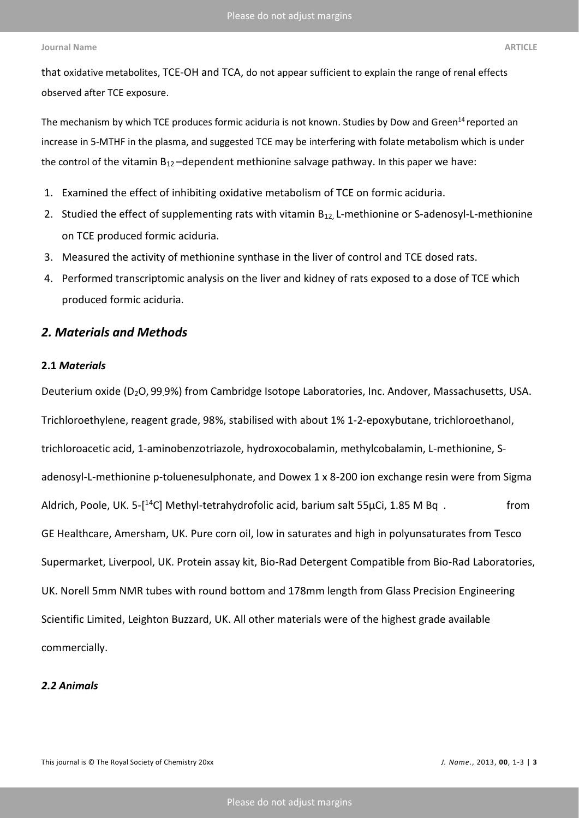that oxidative metabolites, TCE-OH and TCA, do not appear sufficient to explain the range of renal effects observed after TCE exposure.

The mechanism by which TCE produces formic aciduria is not known. Studies by Dow and Green<sup>14</sup> reported an increase in 5-MTHF in the plasma, and suggested TCE may be interfering with folate metabolism which is under the control of the vitamin  $B_{12}$ -dependent methionine salvage pathway. In this paper we have:

- 1. Examined the effect of inhibiting oxidative metabolism of TCE on formic aciduria.
- 2. Studied the effect of supplementing rats with vitamin B<sub>12</sub>, L-methionine or S-adenosyl-L-methionine on TCE produced formic aciduria.
- 3. Measured the activity of methionine synthase in the liver of control and TCE dosed rats.
- 4. Performed transcriptomic analysis on the liver and kidney of rats exposed to a dose of TCE which produced formic aciduria.

# *2. Materials and Methods*

# **2.1** *Materials*

Deuterium oxide (D<sub>2</sub>O, 99.9%) from Cambridge Isotope Laboratories, Inc. Andover, Massachusetts, USA. Trichloroethylene, reagent grade, 98%, stabilised with about 1% 1-2-epoxybutane, trichloroethanol, trichloroacetic acid, 1-aminobenzotriazole, hydroxocobalamin, methylcobalamin, L-methionine, Sadenosyl-L-methionine p-toluenesulphonate, and Dowex 1 x 8-200 ion exchange resin were from Sigma Aldrich, Poole, UK. 5-[<sup>14</sup>C] Methyl-tetrahydrofolic acid, barium salt 55µCi, 1.85 M Bq. GE Healthcare, Amersham, UK. Pure corn oil, low in saturates and high in polyunsaturates from Tesco Supermarket, Liverpool, UK. Protein assay kit, Bio-Rad Detergent Compatible from Bio-Rad Laboratories, UK. Norell 5mm NMR tubes with round bottom and 178mm length from Glass Precision Engineering Scientific Limited, Leighton Buzzard, UK. All other materials were of the highest grade available commercially.

# *2.2 Animals*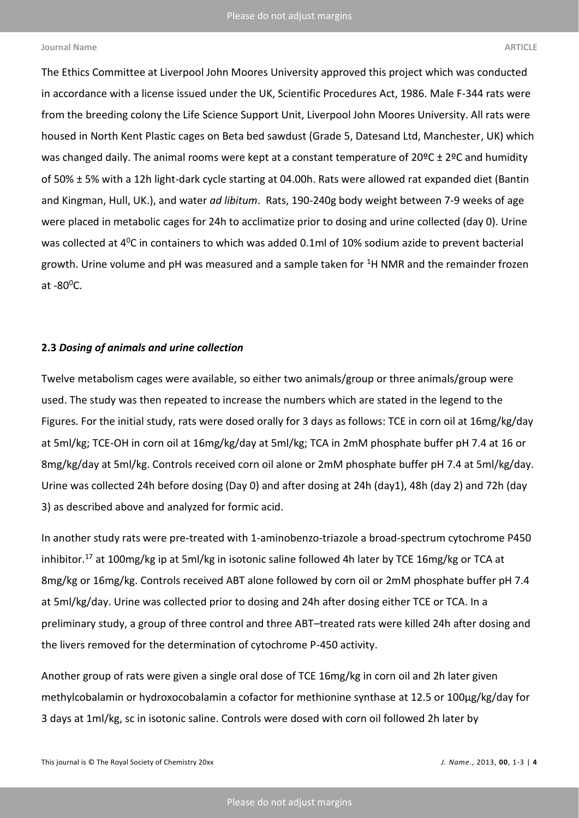The Ethics Committee at Liverpool John Moores University approved this project which was conducted in accordance with a license issued under the UK, Scientific Procedures Act, 1986. Male F-344 rats were from the breeding colony the Life Science Support Unit, Liverpool John Moores University. All rats were housed in North Kent Plastic cages on Beta bed sawdust (Grade 5, Datesand Ltd, Manchester, UK) which was changed daily. The animal rooms were kept at a constant temperature of 20°C ± 2°C and humidity of 50% ± 5% with a 12h light-dark cycle starting at 04.00h. Rats were allowed rat expanded diet (Bantin and Kingman, Hull, UK.), and water *ad libitum*. Rats, 190-240g body weight between 7-9 weeks of age were placed in metabolic cages for 24h to acclimatize prior to dosing and urine collected (day 0). Urine was collected at 4<sup>0</sup>C in containers to which was added 0.1ml of 10% sodium azide to prevent bacterial growth. Urine volume and pH was measured and a sample taken for <sup>1</sup>H NMR and the remainder frozen at  $-80^0$ C.

### **2.3** *Dosing of animals and urine collection*

Twelve metabolism cages were available, so either two animals/group or three animals/group were used. The study was then repeated to increase the numbers which are stated in the legend to the Figures. For the initial study, rats were dosed orally for 3 days as follows: TCE in corn oil at 16mg/kg/day at 5ml/kg; TCE-OH in corn oil at 16mg/kg/day at 5ml/kg; TCA in 2mM phosphate buffer pH 7.4 at 16 or 8mg/kg/day at 5ml/kg. Controls received corn oil alone or 2mM phosphate buffer pH 7.4 at 5ml/kg/day. Urine was collected 24h before dosing (Day 0) and after dosing at 24h (day1), 48h (day 2) and 72h (day 3) as described above and analyzed for formic acid.

In another study rats were pre-treated with 1-aminobenzo-triazole a broad-spectrum cytochrome P450 inhibitor.<sup>17</sup> at 100mg/kg ip at 5ml/kg in isotonic saline followed 4h later by TCE 16mg/kg or TCA at 8mg/kg or 16mg/kg. Controls received ABT alone followed by corn oil or 2mM phosphate buffer pH 7.4 at 5ml/kg/day. Urine was collected prior to dosing and 24h after dosing either TCE or TCA. In a preliminary study, a group of three control and three ABT–treated rats were killed 24h after dosing and the livers removed for the determination of cytochrome P-450 activity.

Another group of rats were given a single oral dose of TCE 16mg/kg in corn oil and 2h later given methylcobalamin or hydroxocobalamin a cofactor for methionine synthase at 12.5 or 100µg/kg/day for 3 days at 1ml/kg, sc in isotonic saline. Controls were dosed with corn oil followed 2h later by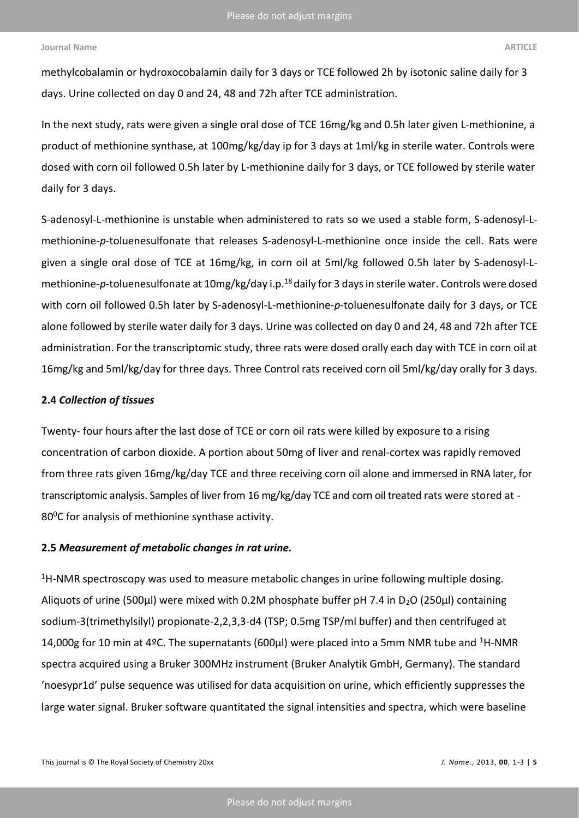methylcobalamin or hydroxocobalamin daily for 3 days or TCE followed 2h by isotonic saline daily for 3 days. Urine collected on day 0 and 24, 48 and 72h after TCE administration.

In the next study, rats were given a single oral dose of TCE 16mg/kg and 0.5h later given L-methionine, a product of methionine synthase, at 100mg/kg/day ip for 3 days at 1ml/kg in sterile water. Controls were dosed with corn oil followed 0.5h later by L-methionine daily for 3 days, or TCE followed by sterile water daily for 3 days.

S-adenosyl-L-methionine is unstable when administered to rats so we used a stable form, S-adenosyl-Lmethionine-*p*-toluenesulfonate that releases S-adenosyl-L-methionine once inside the cell. Rats were given a single oral dose of TCE at 16mg/kg, in corn oil at 5ml/kg followed 0.5h later by S-adenosyl-Lmethionine-p-toluenesulfonate at 10mg/kg/day i.p.<sup>18</sup> daily for 3 days in sterile water. Controls were dosed with corn oil followed 0.5h later by S-adenosyl-L-methionine-*p*-toluenesulfonate daily for 3 days, or TCE alone followed by sterile water daily for 3 days. Urine was collected on day 0 and 24, 48 and 72h after TCE administration. For the transcriptomic study, three rats were dosed orally each day with TCE in corn oil at 16mg/kg and 5ml/kg/day for three days. Three Control rats received corn oil 5ml/kg/day orally for 3 days.

## **2.4** *Collection of tissues*

Twenty- four hours after the last dose of TCE or corn oil rats were killed by exposure to a rising concentration of carbon dioxide. A portion about 50mg of liver and renal-cortex was rapidly removed from three rats given 16mg/kg/day TCE and three receiving corn oil alone and immersed in RNA later, for transcriptomic analysis. Samples of liver from 16 mg/kg/day TCE and corn oil treated rats were stored at - 80<sup>o</sup>C for analysis of methionine synthase activity.

# **2.5** *Measurement of metabolic changes in rat urine.*

 $1$ H-NMR spectroscopy was used to measure metabolic changes in urine following multiple dosing. Aliquots of urine (500μl) were mixed with 0.2M phosphate buffer pH 7.4 in D<sub>2</sub>O (250μl) containing sodium-3(trimethylsilyl) propionate-2,2,3,3-d4 (TSP; 0.5mg TSP/ml buffer) and then centrifuged at 14,000g for 10 min at 4ºC. The supernatants (600 $\mu$ I) were placed into a 5mm NMR tube and <sup>1</sup>H-NMR spectra acquired using a Bruker 300MHz instrument (Bruker Analytik GmbH, Germany). The standard 'noesypr1d' pulse sequence was utilised for data acquisition on urine, which efficiently suppresses the large water signal. Bruker software quantitated the signal intensities and spectra, which were baseline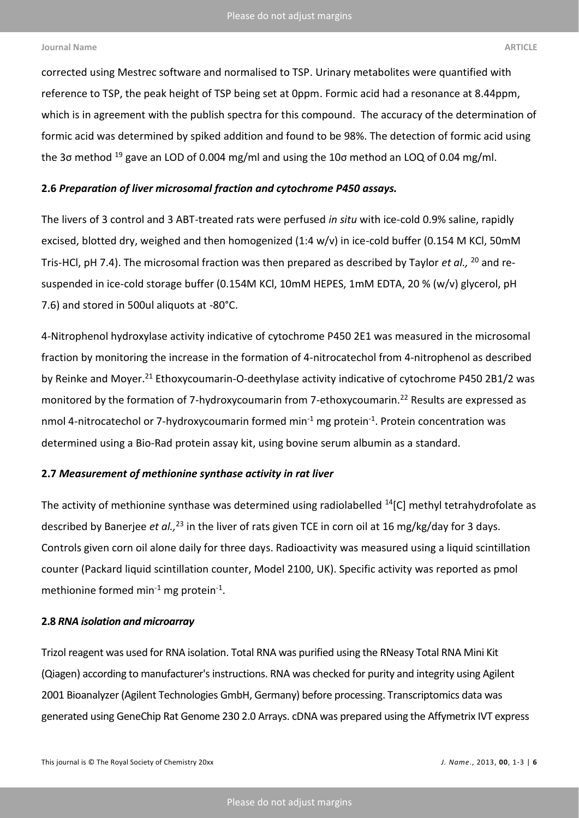corrected using Mestrec software and normalised to TSP. Urinary metabolites were quantified with reference to TSP, the peak height of TSP being set at 0ppm. Formic acid had a resonance at 8.44ppm, which is in agreement with the publish spectra for this compound. The accuracy of the determination of formic acid was determined by spiked addition and found to be 98%. The detection of formic acid using the 3 $\sigma$  method <sup>19</sup> gave an LOD of 0.004 mg/ml and using the 10 $\sigma$  method an LOQ of 0.04 mg/ml.

# **2.6** *Preparation of liver microsomal fraction and cytochrome P450 assays.*

The livers of 3 control and 3 ABT-treated rats were perfused *in situ* with ice-cold 0.9% saline, rapidly excised, blotted dry, weighed and then homogenized (1:4 w/v) in ice-cold buffer (0.154 M KCl, 50mM Tris-HCl, pH 7.4). The microsomal fraction was then prepared as described by Taylor *et al.,* <sup>20</sup> and resuspended in ice-cold storage buffer (0.154M KCl, 10mM HEPES, 1mM EDTA, 20 % (w/v) glycerol, pH 7.6) and stored in 500ul aliquots at -80°C.

4-Nitrophenol hydroxylase activity indicative of cytochrome P450 2E1 was measured in the microsomal fraction by monitoring the increase in the formation of 4-nitrocatechol from 4-nitrophenol as described by Reinke and Moyer.<sup>21</sup> Ethoxycoumarin-O-deethylase activity indicative of cytochrome P450 2B1/2 was monitored by the formation of 7-hydroxycoumarin from 7-ethoxycoumarin.<sup>22</sup> Results are expressed as nmol 4-nitrocatechol or 7-hydroxycoumarin formed min<sup>-1</sup> mg protein<sup>-1</sup>. Protein concentration was determined using a Bio-Rad protein assay kit, using bovine serum albumin as a standard.

# **2.7** *Measurement of methionine synthase activity in rat liver*

The activity of methionine synthase was determined using radiolabelled <sup>14</sup>[C] methyl tetrahydrofolate as described by Banerjee *et al.,*<sup>23</sup> in the liver of rats given TCE in corn oil at 16 mg/kg/day for 3 days. Controls given corn oil alone daily for three days. Radioactivity was measured using a liquid scintillation counter (Packard liquid scintillation counter, Model 2100, UK). Specific activity was reported as pmol methionine formed min $^{-1}$  mg protein $^{-1}$ .

# **2.8** *RNA isolation and microarray*

Trizol reagent was used for RNA isolation. Total RNA was purified using the RNeasy Total RNA Mini Kit (Qiagen) according to manufacturer's instructions. RNA was checked for purity and integrity using Agilent 2001 Bioanalyzer (Agilent Technologies GmbH, Germany) before processing. Transcriptomics data was generated using GeneChip Rat Genome 230 2.0 Arrays. cDNA was prepared using the Affymetrix IVT express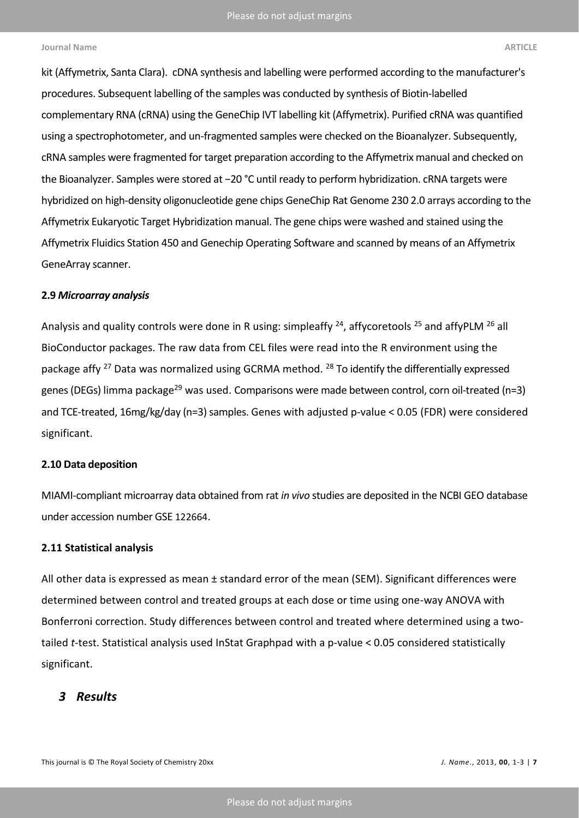kit (Affymetrix, Santa Clara). cDNA synthesis and labelling were performed according to the manufacturer's procedures. Subsequent labelling of the samples was conducted by synthesis of Biotin-labelled complementary RNA (cRNA) using the GeneChip IVT labelling kit (Affymetrix). Purified cRNA was quantified using a spectrophotometer, and un-fragmented samples were checked on the Bioanalyzer. Subsequently, cRNA samples were fragmented for target preparation according to the Affymetrix manual and checked on the Bioanalyzer. Samples were stored at −20 °C until ready to perform hybridization. cRNA targets were hybridized on high-density oligonucleotide gene chips GeneChip Rat Genome 230 2.0 arrays according to the Affymetrix Eukaryotic Target Hybridization manual. The gene chips were washed and stained using the Affymetrix Fluidics Station 450 and Genechip Operating Software and scanned by means of an Affymetrix GeneArray scanner.

### **2.9** *Microarray analysis*

Analysis and quality controls were done in R using: simpleaffy  $24$ , affycoretools  $25$  and affyPLM  $26$  all BioConductor packages. The raw data from CEL files were read into the R environment using the package affy <sup>27</sup> Data was normalized using GCRMA method. <sup>28</sup> To identify the differentially expressed genes (DEGs) limma package<sup>29</sup> was used. Comparisons were made between control, corn oil-treated (n=3) and TCE-treated, 16mg/kg/day (n=3) samples. Genes with adjusted p-value < 0.05 (FDR) were considered significant.

## **2.10 Data deposition**

MIAMI-compliant microarray data obtained from rat *in vivo* studies are deposited in the NCBI GEO database under accession number GSE 122664.

# **2.11 Statistical analysis**

All other data is expressed as mean ± standard error of the mean (SEM). Significant differences were determined between control and treated groups at each dose or time using one-way ANOVA with Bonferroni correction. Study differences between control and treated where determined using a twotailed *t*-test. Statistical analysis used InStat Graphpad with a p-value < 0.05 considered statistically significant.

# *3 Results*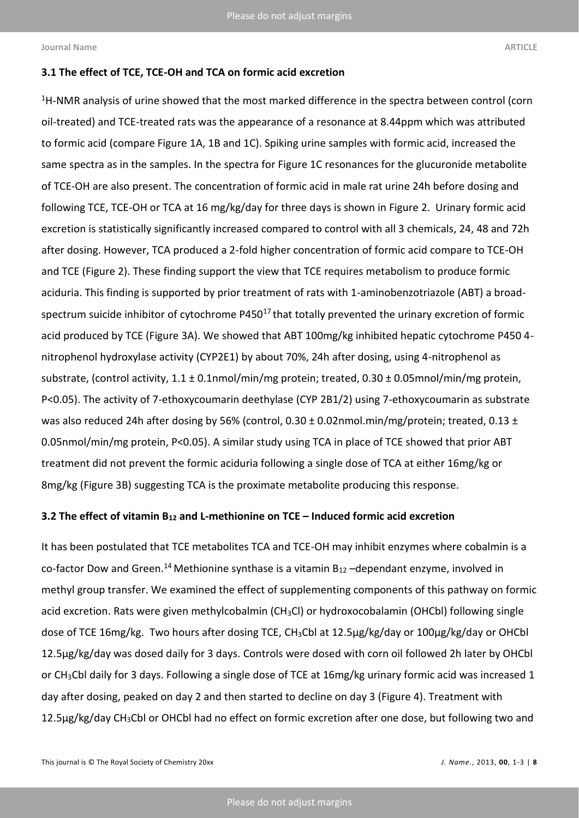# **3.1 The effect of TCE, TCE-OH and TCA on formic acid excretion**

<sup>1</sup>H-NMR analysis of urine showed that the most marked difference in the spectra between control (corn oil-treated) and TCE-treated rats was the appearance of a resonance at 8.44ppm which was attributed to formic acid (compare Figure 1A, 1B and 1C). Spiking urine samples with formic acid, increased the same spectra as in the samples. In the spectra for Figure 1C resonances for the glucuronide metabolite of TCE-OH are also present. The concentration of formic acid in male rat urine 24h before dosing and following TCE, TCE-OH or TCA at 16 mg/kg/day for three days is shown in Figure 2. Urinary formic acid excretion is statistically significantly increased compared to control with all 3 chemicals, 24, 48 and 72h after dosing. However, TCA produced a 2-fold higher concentration of formic acid compare to TCE-OH and TCE (Figure 2). These finding support the view that TCE requires metabolism to produce formic aciduria. This finding is supported by prior treatment of rats with 1-aminobenzotriazole (ABT) a broadspectrum suicide inhibitor of cytochrome P450 $17$  that totally prevented the urinary excretion of formic acid produced by TCE (Figure 3A). We showed that ABT 100mg/kg inhibited hepatic cytochrome P450 4 nitrophenol hydroxylase activity (CYP2E1) by about 70%, 24h after dosing, using 4-nitrophenol as substrate, (control activity, 1.1 ± 0.1nmol/min/mg protein; treated, 0.30 ± 0.05mnol/min/mg protein, P<0.05). The activity of 7-ethoxycoumarin deethylase (CYP 2B1/2) using 7-ethoxycoumarin as substrate was also reduced 24h after dosing by 56% (control, 0.30 ± 0.02nmol.min/mg/protein; treated, 0.13 ± 0.05nmol/min/mg protein, P<0.05). A similar study using TCA in place of TCE showed that prior ABT treatment did not prevent the formic aciduria following a single dose of TCA at either 16mg/kg or 8mg/kg (Figure 3B) suggesting TCA is the proximate metabolite producing this response.

### **3.2 The effect of vitamin B<sup>12</sup> and L-methionine on TCE – Induced formic acid excretion**

It has been postulated that TCE metabolites TCA and TCE-OH may inhibit enzymes where cobalmin is a co-factor Dow and Green.<sup>14</sup> Methionine synthase is a vitamin  $B_{12}$  –dependant enzyme, involved in methyl group transfer. We examined the effect of supplementing components of this pathway on formic acid excretion. Rats were given methylcobalmin (CH<sub>3</sub>Cl) or hydroxocobalamin (OHCbl) following single dose of TCE 16mg/kg. Two hours after dosing TCE, CH3Cbl at 12.5µg/kg/day or 100µg/kg/day or OHCbl 12.5µg/kg/day was dosed daily for 3 days. Controls were dosed with corn oil followed 2h later by OHCbl or CH<sub>3</sub>Cbl daily for 3 days. Following a single dose of TCE at 16mg/kg urinary formic acid was increased 1 day after dosing, peaked on day 2 and then started to decline on day 3 (Figure 4). Treatment with 12.5µg/kg/day CH<sub>3</sub>Cbl or OHCbl had no effect on formic excretion after one dose, but following two and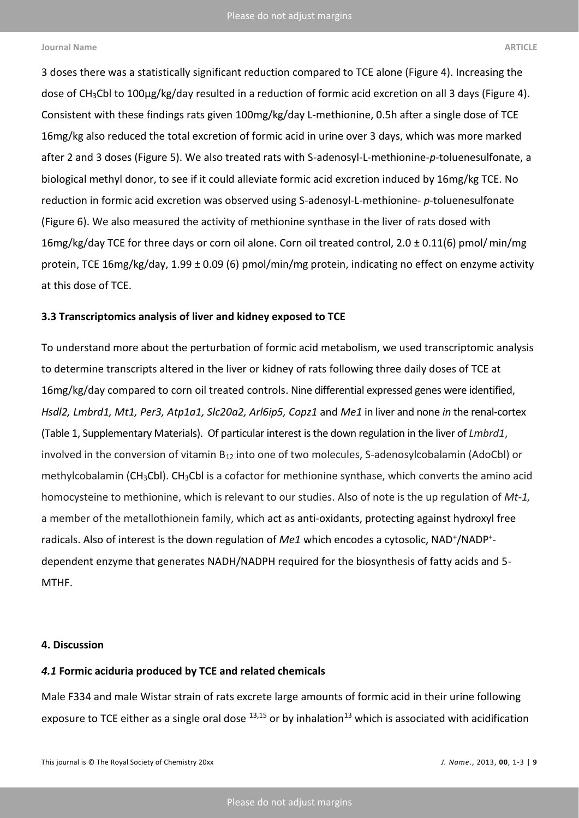3 doses there was a statistically significant reduction compared to TCE alone (Figure 4). Increasing the dose of CH3Cbl to 100µg/kg/day resulted in a reduction of formic acid excretion on all 3 days (Figure 4). Consistent with these findings rats given 100mg/kg/day L-methionine, 0.5h after a single dose of TCE 16mg/kg also reduced the total excretion of formic acid in urine over 3 days, which was more marked after 2 and 3 doses (Figure 5). We also treated rats with S-adenosyl-L-methionine-*p*-toluenesulfonate, a biological methyl donor, to see if it could alleviate formic acid excretion induced by 16mg/kg TCE. No reduction in formic acid excretion was observed using S-adenosyl-L-methionine- *p*-toluenesulfonate (Figure 6). We also measured the activity of methionine synthase in the liver of rats dosed with 16mg/kg/day TCE for three days or corn oil alone. Corn oil treated control, 2.0 ± 0.11(6) pmol/min/mg protein, TCE 16mg/kg/day, 1.99 ± 0.09 (6) pmol/min/mg protein, indicating no effect on enzyme activity at this dose of TCE.

# **3.3 Transcriptomics analysis of liver and kidney exposed to TCE**

To understand more about the perturbation of formic acid metabolism, we used transcriptomic analysis to determine transcripts altered in the liver or kidney of rats following three daily doses of TCE at 16mg/kg/day compared to corn oil treated controls. Nine differential expressed genes were identified, *Hsdl2, Lmbrd1, Mt1, Per3, Atp1a1, Slc20a2, Arl6ip5, Copz1* and *Me1* in liver and none *in* the renal-cortex (Table 1, Supplementary Materials). Of particular interest isthe down regulation in the liver of *Lmbrd1*, involved in the conversion of vitamin  $B_{12}$  into one of two molecules, S-adenosylcobalamin (AdoCbl) or methylcobalamin (CH<sub>3</sub>CbI). CH<sub>3</sub>CbI is a cofactor for methionine synthase, which converts the amino acid homocysteine to methionine, which is relevant to our studies. Also of note is the up regulation of *Mt-1,*  a member of the metallothionein family, which act as anti-oxidants, protecting against hydroxyl free radicals. Also of interest is the down regulation of Me1 which encodes a cytosolic, NAD<sup>+</sup>/NADP<sup>+</sup>dependent enzyme that generates NADH/NADPH required for the biosynthesis of fatty acids and 5- MTHF.

# **4. Discussion**

# *4.1* **Formic aciduria produced by TCE and related chemicals**

Male F334 and male Wistar strain of rats excrete large amounts of formic acid in their urine following exposure to TCE either as a single oral dose  $^{13,15}$  or by inhalation<sup>13</sup> which is associated with acidification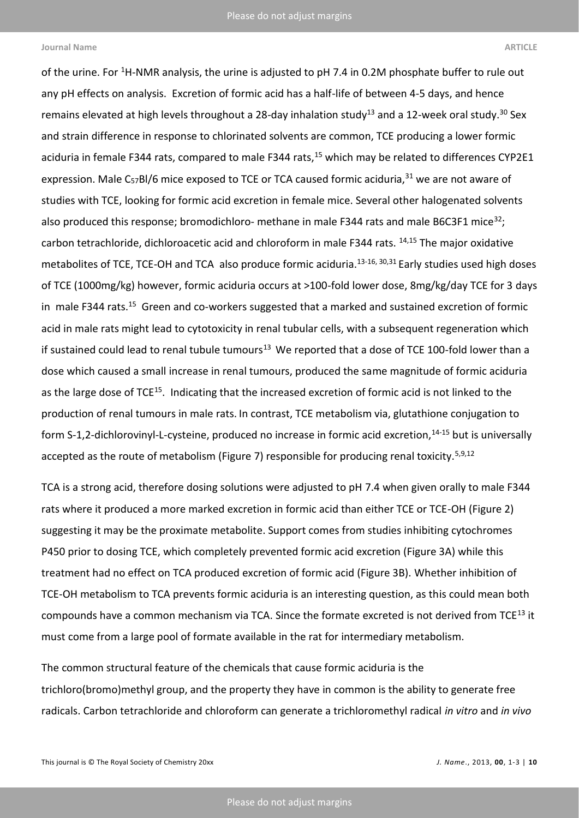of the urine. For <sup>1</sup>H-NMR analysis, the urine is adjusted to pH 7.4 in 0.2M phosphate buffer to rule out any pH effects on analysis. Excretion of formic acid has a half-life of between 4-5 days, and hence remains elevated at high levels throughout a 28-day inhalation study<sup>13</sup> and a 12-week oral study.<sup>30</sup> Sex and strain difference in response to chlorinated solvents are common, TCE producing a lower formic aciduria in female F344 rats, compared to male F344 rats,<sup>15</sup> which may be related to differences CYP2E1 expression. Male C<sub>57</sub>Bl/6 mice exposed to TCE or TCA caused formic aciduria,<sup>31</sup> we are not aware of studies with TCE, looking for formic acid excretion in female mice. Several other halogenated solvents also produced this response; bromodichloro- methane in male F344 rats and male B6C3F1 mice<sup>32</sup>; carbon tetrachloride, dichloroacetic acid and chloroform in male F344 rats. 14,15 The major oxidative metabolites of TCE, TCE-OH and TCA also produce formic aciduria.<sup>13-16, 30,31</sup> Early studies used high doses of TCE (1000mg/kg) however, formic aciduria occurs at >100-fold lower dose, 8mg/kg/day TCE for 3 days in male F344 rats.<sup>15</sup> Green and co-workers suggested that a marked and sustained excretion of formic acid in male rats might lead to cytotoxicity in renal tubular cells, with a subsequent regeneration which if sustained could lead to renal tubule tumours<sup>13</sup> We reported that a dose of TCE 100-fold lower than a dose which caused a small increase in renal tumours, produced the same magnitude of formic aciduria as the large dose of TCE<sup>15</sup>. Indicating that the increased excretion of formic acid is not linked to the production of renal tumours in male rats. In contrast, TCE metabolism via, glutathione conjugation to form S-1,2-dichlorovinyl-L-cysteine, produced no increase in formic acid excretion,<sup>14-15</sup> but is universally accepted as the route of metabolism (Figure 7) responsible for producing renal toxicity.<sup>5,9,12</sup>

TCA is a strong acid, therefore dosing solutions were adjusted to pH 7.4 when given orally to male F344 rats where it produced a more marked excretion in formic acid than either TCE or TCE-OH (Figure 2) suggesting it may be the proximate metabolite. Support comes from studies inhibiting cytochromes P450 prior to dosing TCE, which completely prevented formic acid excretion (Figure 3A) while this treatment had no effect on TCA produced excretion of formic acid (Figure 3B). Whether inhibition of TCE-OH metabolism to TCA prevents formic aciduria is an interesting question, as this could mean both compounds have a common mechanism via TCA. Since the formate excreted is not derived from TCE<sup>13</sup> it must come from a large pool of formate available in the rat for intermediary metabolism.

The common structural feature of the chemicals that cause formic aciduria is the trichloro(bromo)methyl group, and the property they have in common is the ability to generate free radicals. Carbon tetrachloride and chloroform can generate a trichloromethyl radical *in vitro* and *in vivo*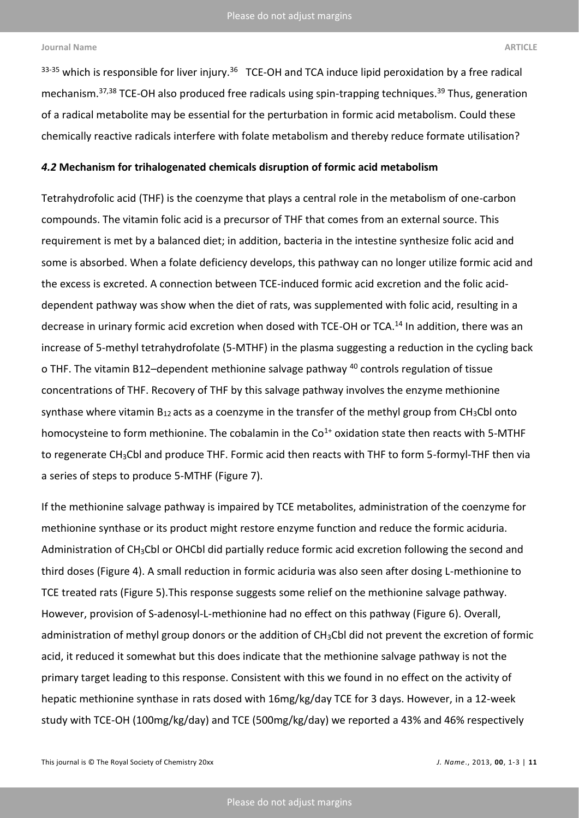<sup>33-35</sup> which is responsible for liver injury.<sup>36</sup> TCE-OH and TCA induce lipid peroxidation by a free radical mechanism.<sup>37,38</sup> TCE-OH also produced free radicals using spin-trapping techniques.<sup>39</sup> Thus, generation of a radical metabolite may be essential for the perturbation in formic acid metabolism. Could these chemically reactive radicals interfere with folate metabolism and thereby reduce formate utilisation?

## *4.2* **Mechanism for trihalogenated chemicals disruption of formic acid metabolism**

Tetrahydrofolic acid (THF) is the coenzyme that plays a central role in the metabolism of one-carbon compounds. The vitamin folic acid is a precursor of THF that comes from an external source. This requirement is met by a balanced diet; in addition, bacteria in the intestine synthesize folic acid and some is absorbed. When a folate deficiency develops, this pathway can no longer utilize formic acid and the excess is excreted. A connection between TCE-induced formic acid excretion and the folic aciddependent pathway was show when the diet of rats, was supplemented with folic acid, resulting in a decrease in urinary formic acid excretion when dosed with TCE-OH or TCA.<sup>14</sup> In addition, there was an increase of 5-methyl tetrahydrofolate (5-MTHF) in the plasma suggesting a reduction in the cycling back o THF. The vitamin B12–dependent methionine salvage pathway <sup>40</sup> controls regulation of tissue concentrations of THF. Recovery of THF by this salvage pathway involves the enzyme methionine synthase where vitamin  $B_{12}$  acts as a coenzyme in the transfer of the methyl group from CH<sub>3</sub>Cbl onto homocysteine to form methionine. The cobalamin in the  $Co<sup>1+</sup>$  oxidation state then reacts with 5-MTHF to regenerate CH<sub>3</sub>Cbl and produce THF. Formic acid then reacts with THF to form 5-formyl-THF then via a series of steps to produce 5-MTHF (Figure 7).

If the methionine salvage pathway is impaired by TCE metabolites, administration of the coenzyme for methionine synthase or its product might restore enzyme function and reduce the formic aciduria. Administration of CH3Cbl or OHCbl did partially reduce formic acid excretion following the second and third doses (Figure 4). A small reduction in formic aciduria was also seen after dosing L-methionine to TCE treated rats (Figure 5).This response suggests some relief on the methionine salvage pathway. However, provision of S-adenosyl-L-methionine had no effect on this pathway (Figure 6). Overall, administration of methyl group donors or the addition of CH<sub>3</sub>Cbl did not prevent the excretion of formic acid, it reduced it somewhat but this does indicate that the methionine salvage pathway is not the primary target leading to this response. Consistent with this we found in no effect on the activity of hepatic methionine synthase in rats dosed with 16mg/kg/day TCE for 3 days. However, in a 12-week study with TCE-OH (100mg/kg/day) and TCE (500mg/kg/day) we reported a 43% and 46% respectively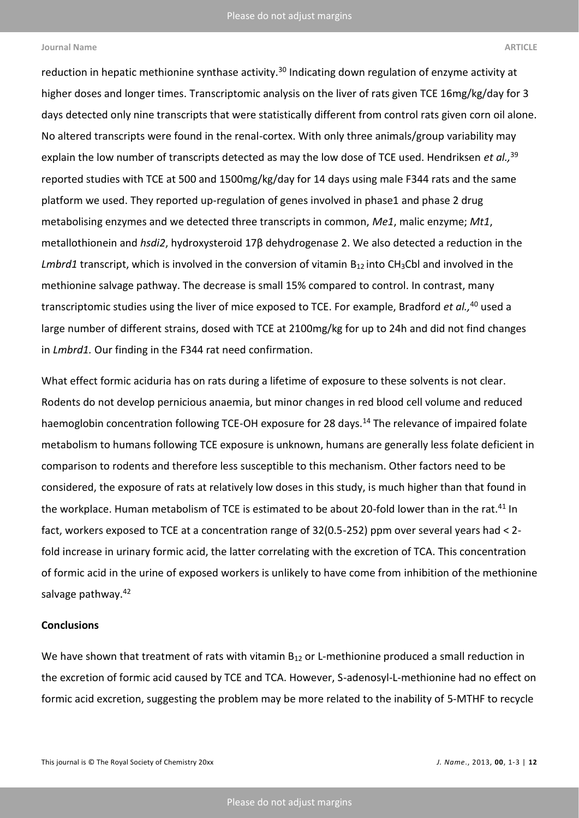reduction in hepatic methionine synthase activity.<sup>30</sup> Indicating down regulation of enzyme activity at higher doses and longer times. Transcriptomic analysis on the liver of rats given TCE 16mg/kg/day for 3 days detected only nine transcripts that were statistically different from control rats given corn oil alone. No altered transcripts were found in the renal-cortex. With only three animals/group variability may explain the low number of transcripts detected as may the low dose of TCE used. Hendriksen *et al.,*<sup>39</sup> reported studies with TCE at 500 and 1500mg/kg/day for 14 days using male F344 rats and the same platform we used. They reported up-regulation of genes involved in phase1 and phase 2 drug metabolising enzymes and we detected three transcripts in common, *Me1*, malic enzyme; *Mt1*, metallothionein and *hsdi2*, hydroxysteroid 17β dehydrogenase 2. We also detected a reduction in the *Lmbrd1* transcript, which is involved in the conversion of vitamin B<sub>12</sub> into CH<sub>3</sub>Cbl and involved in the methionine salvage pathway. The decrease is small 15% compared to control. In contrast, many transcriptomic studies using the liver of mice exposed to TCE. For example, Bradford *et al.,* <sup>40</sup> used a large number of different strains, dosed with TCE at 2100mg/kg for up to 24h and did not find changes in *Lmbrd1.* Our finding in the F344 rat need confirmation.

What effect formic aciduria has on rats during a lifetime of exposure to these solvents is not clear. Rodents do not develop pernicious anaemia, but minor changes in red blood cell volume and reduced haemoglobin concentration following TCE-OH exposure for 28 days.<sup>14</sup> The relevance of impaired folate metabolism to humans following TCE exposure is unknown, humans are generally less folate deficient in comparison to rodents and therefore less susceptible to this mechanism. Other factors need to be considered, the exposure of rats at relatively low doses in this study, is much higher than that found in the workplace. Human metabolism of TCE is estimated to be about 20-fold lower than in the rat.<sup>41</sup> In fact, workers exposed to TCE at a concentration range of 32(0.5-252) ppm over several years had < 2 fold increase in urinary formic acid, the latter correlating with the excretion of TCA. This concentration of formic acid in the urine of exposed workers is unlikely to have come from inhibition of the methionine salvage pathway.<sup>42</sup>

# **Conclusions**

We have shown that treatment of rats with vitamin B<sub>12</sub> or L-methionine produced a small reduction in the excretion of formic acid caused by TCE and TCA. However, S-adenosyl-L-methionine had no effect on formic acid excretion, suggesting the problem may be more related to the inability of 5-MTHF to recycle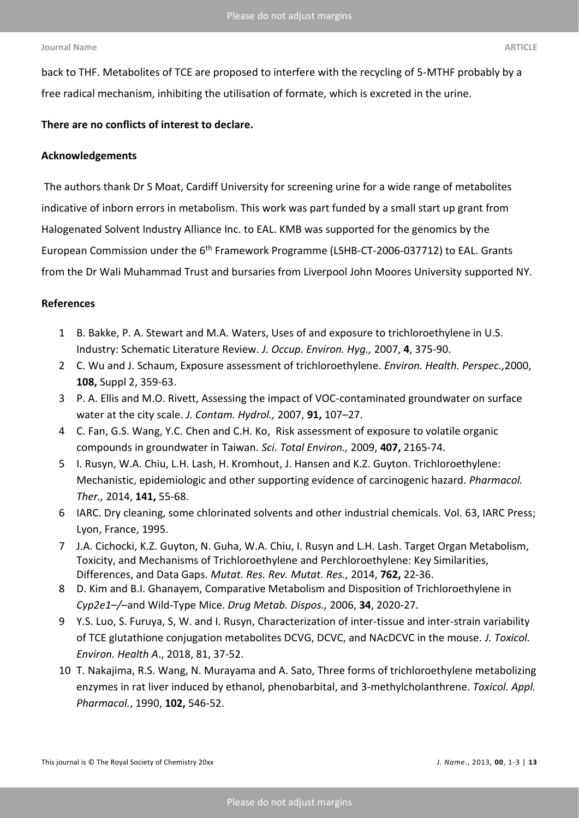back to THF. Metabolites of TCE are proposed to interfere with the recycling of 5-MTHF probably by a free radical mechanism, inhibiting the utilisation of formate, which is excreted in the urine.

# **There are no conflicts of interest to declare.**

## **Acknowledgements**

The authors thank Dr S Moat, Cardiff University for screening urine for a wide range of metabolites indicative of inborn errors in metabolism. This work was part funded by a small start up grant from Halogenated Solvent Industry Alliance Inc. to EAL. KMB was supported for the genomics by the European Commission under the 6<sup>th</sup> Framework Programme (LSHB-CT-2006-037712) to EAL. Grants from the Dr Wali Muhammad Trust and bursaries from Liverpool John Moores University supported NY.

# **References**

- 1 B. Bakke, P. A. Stewart and M.A. Waters, Uses of and exposure to trichloroethylene in U.S. Industry: Schematic Literature Review. *J. Occup. Environ. Hyg.,* 2007, **4**, 375-90.
- 2 C[. Wu](file:///U:/Documents%20and%20Settings/bmlelock/pubmed%3fterm=%22Wu%20C%22%5bAuthor%5d) and J. [Schaum, E](file:///U:/Documents%20and%20Settings/bmlelock/pubmed%3fterm=%22Schaum%20J%22%5bAuthor%5d)xposure assessment of trichloroethylene. *[Environ. Health. Perspec.,](javascript:AL_get(this,%20)*2000, **108,** Suppl 2, 359-63.
- 3 P. A. Ellis and M.O. Rivett, Assessing the impact of VOC-contaminated groundwater on surface water at the city scale. *J. Contam. Hydrol.,* 2007, **91,** 107–27.
- 4 C[. Fan, G](file:///U:/Documents%20and%20Settings/bmlelock/Documents%20and%20Settings/bmlelock/pubmed%3fterm=%22Fan%20C%22%5bAuthor%5d).S. [Wang,](file:///U:/Documents%20and%20Settings/bmlelock/Documents%20and%20Settings/bmlelock/pubmed%3fterm=%22Wang%20GS%22%5bAuthor%5d) Y.C. [Chen](file:///U:/Documents%20and%20Settings/bmlelock/Documents%20and%20Settings/bmlelock/pubmed%3fterm=%22Chen%20YC%22%5bAuthor%5d) and C.H. [Ko,](file:///U:/Documents%20and%20Settings/bmlelock/Documents%20and%20Settings/bmlelock/pubmed%3fterm=%22Ko%20CH%22%5bAuthor%5d) Risk assessment of exposure to volatile organic compounds in groundwater in Taiwan. *[Sci. Total Environ.,](javascript:AL_get(this,%20)* 2009, **407,** 2165-74.
- 5 I. Rusyn, W.A. Chiu, L.H. Lash, H. Kromhout, J. Hansen and K.Z. Guyton. Trichloroethylene: Mechanistic, epidemiologic and other supporting evidence of carcinogenic hazard. *Pharmacol. Ther.,* 2014, **141,** 55-68.
- 6 IARC. Dry cleaning, some chlorinated solvents and other industrial chemicals. Vol. 63, IARC Press; Lyon, France, 1995.
- 7 J.A. Cichocki, K.Z. Guyton, N. Guha, W.A. Chiu, I. Rusyn and L.H. Lash. [Target Organ Metabolism,](https://www.ncbi.nlm.nih.gov/pubmed/27511820)  [Toxicity, and Mechanisms of Trichloroethylene](https://www.ncbi.nlm.nih.gov/pubmed/27511820) and Perchloroethylene: Key Similarities, [Differences, and Data Gaps.](https://www.ncbi.nlm.nih.gov/pubmed/27511820) *Mutat. Res. Rev. Mutat. Res.,* 2014, **762,** 22-36.
- 8 D[. Kim](file:///U:/Documents%20and%20Settings/bmlelock/search%3fauthor1=Dojung+Kim&sortspec=date&submit=Submit) and B.I. Ghanayem, Comparative Metabolism and Disposition of Trichloroethylene in *Cyp2e1*–*/*–and Wild-Type Mice. *[Drug Metab. Dispos.,](javascript:AL_get(this,%20)* 2006, **34**, 2020-27.
- 9 Y.S[. Luo,](https://www.ncbi.nlm.nih.gov/pubmed/?term=Luo%20YS%5BAuthor%5D&cauthor=true&cauthor_uid=29190187) S. [Furuya, S,](https://www.ncbi.nlm.nih.gov/pubmed/?term=Furuya%20S%5BAuthor%5D&cauthor=true&cauthor_uid=29190187) W. and I. Rusyn, Characterization of inter-tissue and inter-strain variability of TCE glutathione conjugation metabolites DCVG, DCVC, and NAcDCVC in the mouse. *[J. Toxicol.](https://www.ncbi.nlm.nih.gov/pubmed/?term=Luo+et+al%2C+2017+%2C+trichloroethylene)  [Environ. Health A](https://www.ncbi.nlm.nih.gov/pubmed/?term=Luo+et+al%2C+2017+%2C+trichloroethylene)*., 2018, 81, 37-52.
- 10 T. Nakajima, R.S. Wang, N. Murayama and A. Sato, Three forms of trichloroethylene metabolizing enzymes in rat liver induced by ethanol, phenobarbital, and 3-methylcholanthrene. *Toxicol. Appl. Pharmacol.*, 1990, **102,** 546-52.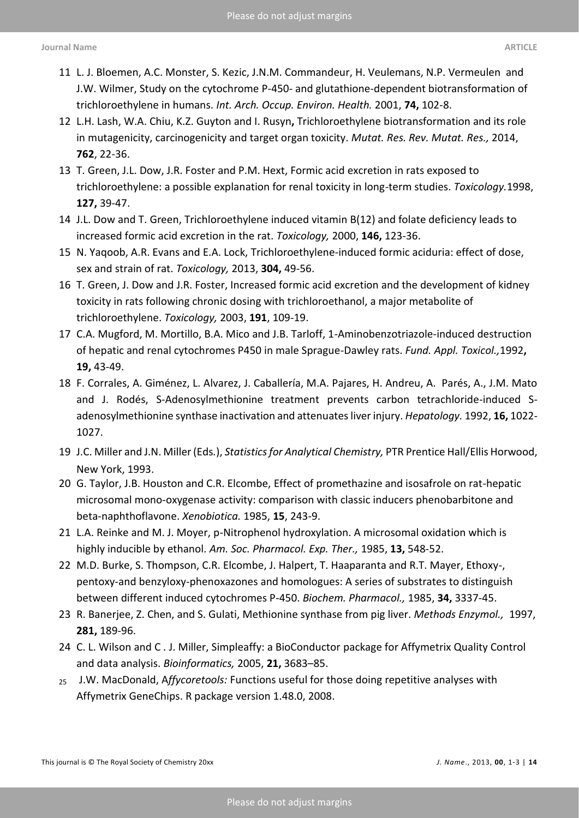- 11 L. J. Bloemen, A.C. Monster, S. Kezic, J.N.M. Commandeur, H. Veulemans, N.P. Vermeulen and J.W. Wilmer, Study on the cytochrome P-450- [and glutathione-dependent biotransformation of](file:///U:/Documents%20and%20Settings/bmlelock/Documents%20and%20Settings/bmlelock/pubmed/11317702)  [trichloroethylene in humans.](file:///U:/Documents%20and%20Settings/bmlelock/Documents%20and%20Settings/bmlelock/pubmed/11317702) *Int. Arch. Occup. Environ. Health.* 2001, **74,** 102-8.
- 12 L.H. [Lash,](https://www.ncbi.nlm.nih.gov/pubmed/?term=Lash%20LH%5BAuthor%5D&cauthor=true&cauthor_uid=25484616) W.A[. Chiu,](https://www.ncbi.nlm.nih.gov/pubmed/?term=Chiu%20WA%5BAuthor%5D&cauthor=true&cauthor_uid=25484616) K.Z. [Guyton and I. Rusyn](https://www.ncbi.nlm.nih.gov/pubmed/?term=Guyton%20KZ%5BAuthor%5D&cauthor=true&cauthor_uid=25484616)**,** Trichloroethylene biotransformation and its role in mutagenicity, carcinogenicity and target organ toxicity. *[Mutat. Res. Rev. Mutat. Res.,](https://www.ncbi.nlm.nih.gov/pubmed/25484616)* 2014, **762**, 22-36.
- 13 T. Green, J.L. Dow, J.R. Foster and P.M. Hext, Formic acid excretion in rats exposed to trichloroethylene: a possible explanation for renal toxicity in long-term studies. *Toxicology.*1998, **127,** 39-47.
- 14 J.L. [Dow](file:///U:/Documents%20and%20Settings/bmlelock/pubmed%3fterm=%22Dow%20JL%22%5bAuthor%5d) and T. [Green,](file:///U:/Documents%20and%20Settings/bmlelock/pubmed%3fterm=%22Green%20T%22%5bAuthor%5d) Trichloroethylene induced vitamin B(12) and folate deficiency leads to increased formic acid excretion in the rat. *[Toxicology,](javascript:AL_get(this,%20)* 2000, **146,** 123-36.
- 15 N. Yaqoob, A.R. Evans and E.A. Lock, Trichloroethylene-induced formic aciduria: effect of dose, sex and strain of rat. *Toxicology,* 2013, **304,** 49-56.
- 16 T. Green, J. Dow and J.R. Foster, Increased formic acid excretion and the development of kidney toxicity in rats following chronic dosing with trichloroethanol, a major metabolite of trichloroethylene. *Toxicology,* 2003, **191**, 109-19.
- 17 C.A. Mugford, M. Mortillo, B.A. Mico and J.B. Tarloff, 1-Aminobenzotriazole-induced destruction of hepatic and renal cytochromes P450 in male Sprague-Dawley rats. *Fund. Appl. Toxicol.,*1992**, 19,** 43-49.
- 18 F. Corrales, A. Giménez, L. Alvarez, J. Caballería, M.A. Pajares, H. Andreu, A. Parés, A., J.M. Mato and J. Rodés, S-Adenosylmethionine treatment prevents carbon tetrachloride-induced Sadenosylmethionine synthase inactivation and attenuates liver injury. *Hepatology.* 1992, **16,** 1022- 1027.
- 19 J.C. Miller and J.N. Miller (Eds*.*), *Statistics for Analytical Chemistry,* PTR Prentice Hall/Ellis Horwood, New York, 1993.
- 20 G. Taylor, J.B. Houston and C.R. Elcombe, Effect of promethazine and isosafrole on rat-hepatic microsomal mono-oxygenase activity: comparison with classic inducers phenobarbitone and beta-naphthoflavone. *[Xenobiotica.](https://www.ncbi.nlm.nih.gov/pubmed/?term=Taylor+%2C+Elcombe+CR%2C+1985)* 1985, **15**, 243-9.
- 21 L.A. Reinke and M. J. Moyer, p-Nitrophenol hydroxylation. A microsomal oxidation which is highly inducible by ethanol. *Am. Soc. Pharmacol. Exp. Ther.,* 1985, **13,** 548-52.
- 22 M.D. Burke, S. Thompson, C.R. Elcombe, J. Halpert, T. Haaparanta and R.T. Mayer, Ethoxy-, pentoxy-and benzyloxy-phenoxazones and homologues: A series of substrates to distinguish between different induced cytochromes P-450. *Biochem. Pharmacol.,* 1985, **34,** 3337-45.
- 23 R. Banerjee, Z. Chen, and S. Gulati, [Methionine synthase from pig liver.](http://www.ncbi.nlm.nih.gov/pubmed/9250983) *Methods Enzymol.,* 1997, **281,** 189-96.
- 24 C. L. Wilson and C . J. Miller, Simpleaffy: a BioConductor package for Affymetrix Quality Control and data analysis. *Bioinformatics,* 2005, **21,** 3683–85.
- <sup>25</sup> J.W. MacDonald, A*ffycoretools:* Functions useful for those doing repetitive analyses with Affymetrix GeneChips. R package version 1.48.0, 2008.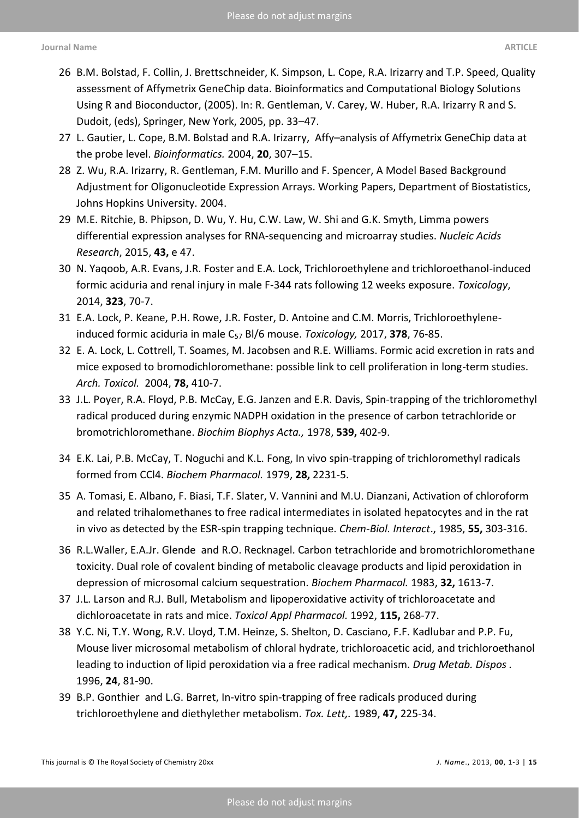- 26 B.M. Bolstad, F. Collin, J. Brettschneider, K. Simpson, L. Cope, R.A. Irizarry and T.P. Speed, Quality assessment of Affymetrix GeneChip data. Bioinformatics and Computational Biology Solutions Using R and Bioconductor, (2005). In: R. Gentleman, V. Carey, W. Huber, R.A. Irizarry R and S. Dudoit, (eds), Springer, New York, 2005, pp. 33–47.
- 27 L. Gautier, L. [Cope, B.M.](https://www.ncbi.nlm.nih.gov/pubmed/?term=Cope%20L%5BAuthor%5D&cauthor=true&cauthor_uid=14960456) [Bolstad a](https://www.ncbi.nlm.nih.gov/pubmed/?term=Bolstad%20BM%5BAuthor%5D&cauthor=true&cauthor_uid=14960456)nd R.A. [Irizarry,](https://www.ncbi.nlm.nih.gov/pubmed/?term=Irizarry%20RA%5BAuthor%5D&cauthor=true&cauthor_uid=14960456) Affy–analysis of Affymetrix GeneChip data at the probe level. *Bioinformatics.* 2004, **20**, 307–15.
- 28 Z. Wu, R.A. Irizarry, R. Gentleman, F.M. Murillo and F. Spencer, A Model Based Background Adjustment for Oligonucleotide Expression Arrays. Working Papers, Department of Biostatistics, Johns Hopkins University. 2004.
- 29 M.E. Ritchie, B. Phipson, D. Wu, Y. Hu, C.W. Law, W. Shi and G.K. Smyth, Limma powers differential expression analyses for RNA-sequencing and microarray studies. *Nucleic Acids Research*, 2015, **43,** e 47.
- 30 N. [Yaqoob, A.R.](http://www.ncbi.nlm.nih.gov/pubmed/?term=Yaqoob%20N%5BAuthor%5D&cauthor=true&cauthor_uid=24923549) [Evans, J.R.](http://www.ncbi.nlm.nih.gov/pubmed/?term=Evans%20A%5BAuthor%5D&cauthor=true&cauthor_uid=24923549) [Foster](http://www.ncbi.nlm.nih.gov/pubmed/?term=Foster%20JR%5BAuthor%5D&cauthor=true&cauthor_uid=24923549) and E.A. [Lock,](http://www.ncbi.nlm.nih.gov/pubmed/?term=Lock%20EA%5BAuthor%5D&cauthor=true&cauthor_uid=24923549) Trichloroethylene and trichloroethanol-induced formic aciduria and renal injury in male F-344 rats following 12 weeks exposure. *[Toxicology](http://www.ncbi.nlm.nih.gov/pubmed/24923549)*, 2014, **323**, 70-7.
- 31 E.A. Lock, P. Keane, P.H. Rowe, J.R. Foster, D. Antoine and C.M. Morris, Trichloroethyleneinduced formic aciduria in male C<sup>57</sup> Bl/6 mouse. *Toxicology,* 2017, **378**, 76-85.
- 32 E. A. Lock, L. Cottrell, T. Soames, M. Jacobsen and R.E. Williams. Formic acid excretion in rats and mice exposed to bromodichloromethane: possible link to cell proliferation in long-term studies. *Arch. Toxicol.* 2004, **78,** 410-7.
- 33 J.L. [Poyer, R.A.](https://www.ncbi.nlm.nih.gov/pubmed/?term=Poyer%20JL%5BAuthor%5D&cauthor=true&cauthor_uid=24480) [Floyd, P.B.](https://www.ncbi.nlm.nih.gov/pubmed/?term=Floyd%20RA%5BAuthor%5D&cauthor=true&cauthor_uid=24480) [McCay, E.G.](https://www.ncbi.nlm.nih.gov/pubmed/?term=McCay%20PB%5BAuthor%5D&cauthor=true&cauthor_uid=24480) [Janzen](https://www.ncbi.nlm.nih.gov/pubmed/?term=Janzen%20EG%5BAuthor%5D&cauthor=true&cauthor_uid=24480) and E.R. [Davis, S](https://www.ncbi.nlm.nih.gov/pubmed/?term=Davis%20ER%5BAuthor%5D&cauthor=true&cauthor_uid=24480)pin-trapping of the trichloromethyl radical produced during enzymic NADPH oxidation in the presence of carbon tetrachloride or bromotrichloromethane. *[Biochim Biophys Acta.,](https://www.ncbi.nlm.nih.gov/pubmed/24480)* 1978, **539,** 402-9.
- 34 E.K. Lai, P.B. McCay, T. Noguchi and K.L. Fong, [In vivo spin-trapping of trichloromethyl radicals](https://www.ncbi.nlm.nih.gov/pubmed/227403) [formed from CCl4.](https://www.ncbi.nlm.nih.gov/pubmed/227403) *Biochem Pharmacol.* 1979, **28,** 2231-5.
- 35 A. Tomasi, E. Albano, F. Biasi, T.F. Slater, V. Vannini and M.U. Dianzani, Activation of chloroform and related trihalomethanes to free radical intermediates in isolated hepatocytes and in the rat in vivo as detected by the ESR-spin trapping technique. *Chem-Biol. Interact*., 1985, **55,** 303-316.
- 36 R.L.Waller, E.A.Jr. Glende and R.O. Recknagel. Carbon tetrachloride [and bromotrichloromethane](https://www.ncbi.nlm.nih.gov/pubmed/6860348)  [toxicity. Dual role of covalent binding of metabolic cleavage products and lipid peroxidation](https://www.ncbi.nlm.nih.gov/pubmed/6860348) in [depression of microsomal calcium sequestration.](https://www.ncbi.nlm.nih.gov/pubmed/6860348) *Biochem Pharmacol.* 1983, **32,** 1613-7.
- 37 J.L. Larson and R.J. Bull, [Metabolism and lipoperoxidative activity of trichloroacetate and](https://www.ncbi.nlm.nih.gov/pubmed/1641860)  [dichloroacetate](https://www.ncbi.nlm.nih.gov/pubmed/1641860) in rats and mice. *Toxicol Appl Pharmacol.* 1992, **115,** 268-77.
- 38 Y.C. [Ni, T.Y.](https://www.ncbi.nlm.nih.gov/pubmed/?term=Ni%20YC%5BAuthor%5D&cauthor=true&cauthor_uid=8825194) [Wong, R.V.](https://www.ncbi.nlm.nih.gov/pubmed/?term=Wong%20TY%5BAuthor%5D&cauthor=true&cauthor_uid=8825194) [Lloyd,](https://www.ncbi.nlm.nih.gov/pubmed/?term=Lloyd%20RV%5BAuthor%5D&cauthor=true&cauthor_uid=8825194) T.M. [Heinze, S.](https://www.ncbi.nlm.nih.gov/pubmed/?term=Heinze%20TM%5BAuthor%5D&cauthor=true&cauthor_uid=8825194) [Shelton, D.](https://www.ncbi.nlm.nih.gov/pubmed/?term=Shelton%20S%5BAuthor%5D&cauthor=true&cauthor_uid=8825194) [Casciano, F.F.](https://www.ncbi.nlm.nih.gov/pubmed/?term=Casciano%20D%5BAuthor%5D&cauthor=true&cauthor_uid=8825194) [Kadlubar](https://www.ncbi.nlm.nih.gov/pubmed/?term=Kadlubar%20FF%5BAuthor%5D&cauthor=true&cauthor_uid=8825194) and P.P[. Fu,](https://www.ncbi.nlm.nih.gov/pubmed/?term=Fu%20PP%5BAuthor%5D&cauthor=true&cauthor_uid=8825194)  Mouse liver microsomal metabolism of chloral hydrate, trichloroacetic acid, and trichloroethanol leading to induction of lipid peroxidation via a free radical mechanism. *[Drug Metab.](https://www.ncbi.nlm.nih.gov/pubmed/?term=drug+metab.+dispos+(1995)+24%2C+81-90) Dispos .* 1996, **24**, 81-90.
- 39 B.P. [Gonthier](https://www.ncbi.nlm.nih.gov/pubmed/?term=Gonthier%20BP%5BAuthor%5D&cauthor=true&cauthor_uid=2546296) and L.G. [Barret,](https://www.ncbi.nlm.nih.gov/pubmed/?term=Barret%20LG%5BAuthor%5D&cauthor=true&cauthor_uid=2546296) In-vitro spin-trapping of free radicals produced during trichloroethylene and diethylether metabolism. *[Tox. Lett,.](https://www.ncbi.nlm.nih.gov/pubmed/?term=Gonthier%2C+Barret%2C+1989)* 1989, **47,** 225-34.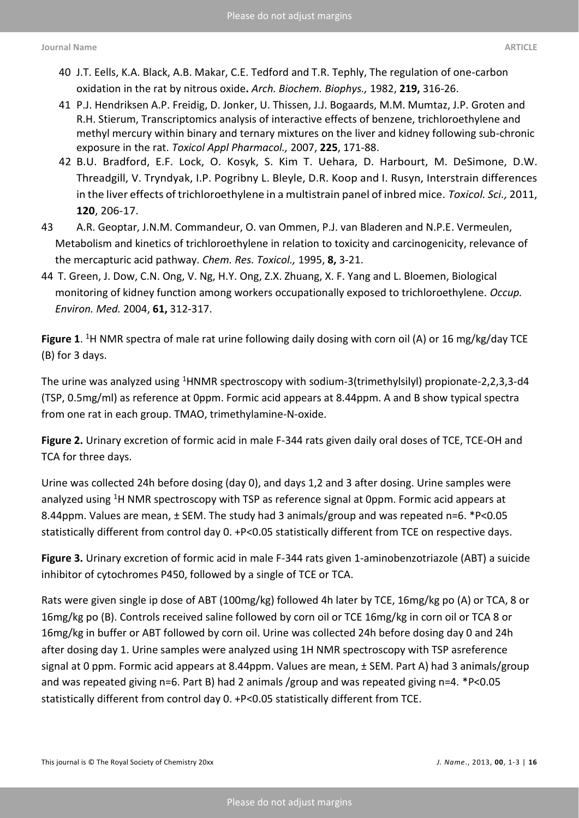- 40 J.T. Eells, K.A. Black, A.B. Makar, C.E. Tedford and T.R. Tephly, The regulation of one-carbon oxidation in the rat by nitrous oxide**.** *Arch. Biochem. Biophys.,* 1982, **219,** 316-26.
- 41 P.J. [Hendriksen A.P.](https://www.ncbi.nlm.nih.gov/pubmed/?term=Hendriksen%20PJ%5BAuthor%5D&cauthor=true&cauthor_uid=17905399) [Freidig, D.](https://www.ncbi.nlm.nih.gov/pubmed/?term=Freidig%20AP%5BAuthor%5D&cauthor=true&cauthor_uid=17905399) [Jonker, U.](https://www.ncbi.nlm.nih.gov/pubmed/?term=Jonker%20D%5BAuthor%5D&cauthor=true&cauthor_uid=17905399) [Thissen, J.J. Bogaards, M.M.](https://www.ncbi.nlm.nih.gov/pubmed/?term=Thissen%20U%5BAuthor%5D&cauthor=true&cauthor_uid=17905399) [Mumtaz, J.P.](https://www.ncbi.nlm.nih.gov/pubmed/?term=Mumtaz%20MM%5BAuthor%5D&cauthor=true&cauthor_uid=17905399) [Groten and](https://www.ncbi.nlm.nih.gov/pubmed/?term=Groten%20JP%5BAuthor%5D&cauthor=true&cauthor_uid=17905399)  [R.H.](https://www.ncbi.nlm.nih.gov/pubmed/?term=Groten%20JP%5BAuthor%5D&cauthor=true&cauthor_uid=17905399) [Stierum,](https://www.ncbi.nlm.nih.gov/pubmed/?term=Stierum%20RH%5BAuthor%5D&cauthor=true&cauthor_uid=17905399) Transcriptomics analysis of interactive effects of benzene, trichloroethylene and methyl mercury within binary and ternary mixtures on the liver and kidney following sub-chronic exposure in the rat. *[Toxicol Appl Pharmacol.,](https://www.ncbi.nlm.nih.gov/pubmed/?term=hendriksen+P%2C+trichloroethylene)* 2007, **225**, 171-88.
- 42 B.U. [Bradford, E.F.](https://www.ncbi.nlm.nih.gov/pubmed/?term=Bradford%20BU%5BAuthor%5D&cauthor=true&cauthor_uid=21135412) [Lock, O.](https://www.ncbi.nlm.nih.gov/pubmed/?term=Lock%20EF%5BAuthor%5D&cauthor=true&cauthor_uid=21135412) [Kosyk, S.](https://www.ncbi.nlm.nih.gov/pubmed/?term=Kosyk%20O%5BAuthor%5D&cauthor=true&cauthor_uid=21135412) [Kim T.](https://www.ncbi.nlm.nih.gov/pubmed/?term=Kim%20S%5BAuthor%5D&cauthor=true&cauthor_uid=21135412) [Uehara, D.](https://www.ncbi.nlm.nih.gov/pubmed/?term=Uehara%20T%5BAuthor%5D&cauthor=true&cauthor_uid=21135412) [Harbourt,](https://www.ncbi.nlm.nih.gov/pubmed/?term=Harbourt%20D%5BAuthor%5D&cauthor=true&cauthor_uid=21135412) M. [DeSimone,](https://www.ncbi.nlm.nih.gov/pubmed/?term=DeSimone%20M%5BAuthor%5D&cauthor=true&cauthor_uid=21135412) D.W. [Threadgill, V.](https://www.ncbi.nlm.nih.gov/pubmed/?term=Threadgill%20DW%5BAuthor%5D&cauthor=true&cauthor_uid=21135412) [Tryndyak, I.P.](https://www.ncbi.nlm.nih.gov/pubmed/?term=Tryndyak%20V%5BAuthor%5D&cauthor=true&cauthor_uid=21135412) [Pogribny L](https://www.ncbi.nlm.nih.gov/pubmed/?term=Pogribny%20IP%5BAuthor%5D&cauthor=true&cauthor_uid=21135412). [Bleyle, D.R.](https://www.ncbi.nlm.nih.gov/pubmed/?term=Bleyle%20L%5BAuthor%5D&cauthor=true&cauthor_uid=21135412) [Koop and I. Rusyn, Interstrain differences](https://www.ncbi.nlm.nih.gov/pubmed/?term=Koop%20DR%5BAuthor%5D&cauthor=true&cauthor_uid=21135412)  [in the liver effects of trichloroethylene in a multistrain panel of inbred mice.](https://www.ncbi.nlm.nih.gov/pubmed/?term=Koop%20DR%5BAuthor%5D&cauthor=true&cauthor_uid=21135412) *[Toxicol. Sci.,](https://www.ncbi.nlm.nih.gov/pubmed/21135412/)* 2011, **120**[, 206-17.](https://www.ncbi.nlm.nih.gov/pubmed/?term=Koop%20DR%5BAuthor%5D&cauthor=true&cauthor_uid=21135412)
- [43 A.R. Geoptar, J.N.M. Commandeur, O. van Ommen, P.J. van Bladeren and N.P.E. Vermeulen,](https://www.ncbi.nlm.nih.gov/pubmed/?term=Koop%20DR%5BAuthor%5D&cauthor=true&cauthor_uid=21135412)  [Metabolism and kinetics of trichloroethylene in relation to toxicity and carcinogenicity, relevance of](https://www.ncbi.nlm.nih.gov/pubmed/?term=Koop%20DR%5BAuthor%5D&cauthor=true&cauthor_uid=21135412)  [the mercapturic acid pathway.](https://www.ncbi.nlm.nih.gov/pubmed/?term=Koop%20DR%5BAuthor%5D&cauthor=true&cauthor_uid=21135412) *Chem. Res. Toxicol.,* 1995, **8,** 3-21.
- 44 [T. Green, J. Dow, C.N. Ong, V. Ng, H.Y. Ong, Z.X. Zhuang, X. F. Yang and L. Bloemen, Biological](https://www.ncbi.nlm.nih.gov/pubmed/?term=Koop%20DR%5BAuthor%5D&cauthor=true&cauthor_uid=21135412)  [monitoring of kidney function among workers occupationally exposed to trichloroethylene.](https://www.ncbi.nlm.nih.gov/pubmed/?term=Koop%20DR%5BAuthor%5D&cauthor=true&cauthor_uid=21135412) *Occup. [Environ. Med.](https://www.ncbi.nlm.nih.gov/pubmed/?term=Koop%20DR%5BAuthor%5D&cauthor=true&cauthor_uid=21135412)* 2004, **61,** 312-317.

**Figure 1**. <sup>1</sup>H NMR spectra of male rat urine following daily dosing with corn oil (A) or 16 mg/kg/day TCE (B) for 3 days.

The urine was analyzed using <sup>1</sup>HNMR spectroscopy with sodium-3(trimethylsilyl) propionate-2,2,3,3-d4 (TSP, 0.5mg/ml) as reference at 0ppm. Formic acid appears at 8.44ppm. A and B show typical spectra from one rat in each group. TMAO, trimethylamine-N-oxide.

**Figure 2.** Urinary excretion of formic acid in male F-344 rats given daily oral doses of TCE, TCE-OH and TCA for three days.

Urine was collected 24h before dosing (day 0), and days 1,2 and 3 after dosing. Urine samples were analyzed using <sup>1</sup>H NMR spectroscopy with TSP as reference signal at 0ppm. Formic acid appears at 8.44ppm. Values are mean, ± SEM. The study had 3 animals/group and was repeated n=6. \*P<0.05 statistically different from control day 0. +P<0.05 statistically different from TCE on respective days.

**Figure 3.** Urinary excretion of formic acid in male F-344 rats given 1-aminobenzotriazole (ABT) a suicide inhibitor of cytochromes P450, followed by a single of TCE or TCA.

Rats were given single ip dose of ABT (100mg/kg) followed 4h later by TCE, 16mg/kg po (A) or TCA, 8 or 16mg/kg po (B). Controls received saline followed by corn oil or TCE 16mg/kg in corn oil or TCA 8 or 16mg/kg in buffer or ABT followed by corn oil. Urine was collected 24h before dosing day 0 and 24h after dosing day 1. Urine samples were analyzed using 1H NMR spectroscopy with TSP asreference signal at 0 ppm. Formic acid appears at 8.44ppm. Values are mean, ± SEM. Part A) had 3 animals/group and was repeated giving n=6. Part B) had 2 animals /group and was repeated giving n=4. \*P<0.05 statistically different from control day 0. +P<0.05 statistically different from TCE.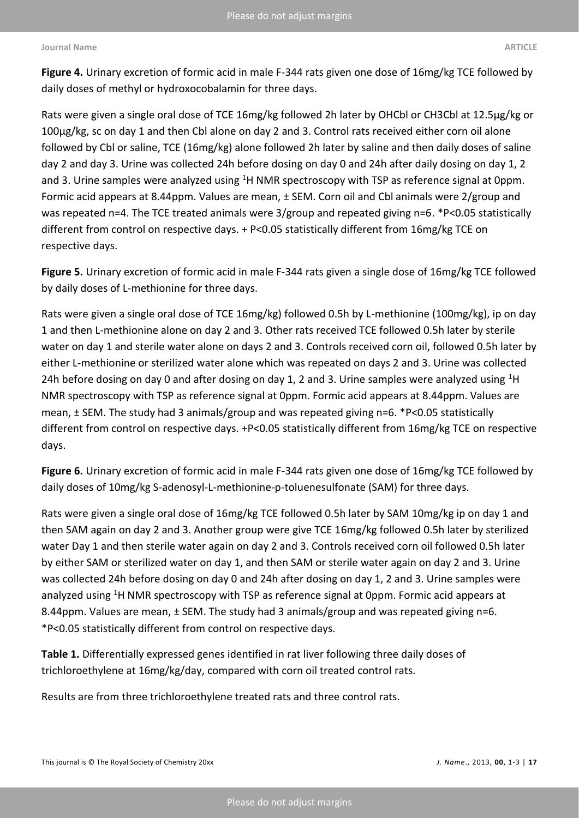**Figure 4.** Urinary excretion of formic acid in male F-344 rats given one dose of 16mg/kg TCE followed by daily doses of methyl or hydroxocobalamin for three days.

Rats were given a single oral dose of TCE 16mg/kg followed 2h later by OHCbl or CH3Cbl at 12.5μg/kg or 100μg/kg, sc on day 1 and then Cbl alone on day 2 and 3. Control rats received either corn oil alone followed by Cbl or saline, TCE (16mg/kg) alone followed 2h later by saline and then daily doses of saline day 2 and day 3. Urine was collected 24h before dosing on day 0 and 24h after daily dosing on day 1, 2 and 3. Urine samples were analyzed using  $1H$  NMR spectroscopy with TSP as reference signal at 0ppm. Formic acid appears at 8.44ppm. Values are mean, ± SEM. Corn oil and Cbl animals were 2/group and was repeated n=4. The TCE treated animals were 3/group and repeated giving n=6. \*P<0.05 statistically different from control on respective days. + P<0.05 statistically different from 16mg/kg TCE on respective days.

**Figure 5.** Urinary excretion of formic acid in male F-344 rats given a single dose of 16mg/kg TCE followed by daily doses of L-methionine for three days.

Rats were given a single oral dose of TCE 16mg/kg) followed 0.5h by L-methionine (100mg/kg), ip on day 1 and then L-methionine alone on day 2 and 3. Other rats received TCE followed 0.5h later by sterile water on day 1 and sterile water alone on days 2 and 3. Controls received corn oil, followed 0.5h later by either L-methionine or sterilized water alone which was repeated on days 2 and 3. Urine was collected 24h before dosing on day 0 and after dosing on day 1, 2 and 3. Urine samples were analyzed using  ${}^{1}$ H NMR spectroscopy with TSP as reference signal at 0ppm. Formic acid appears at 8.44ppm. Values are mean, ± SEM. The study had 3 animals/group and was repeated giving n=6. \*P<0.05 statistically different from control on respective days. +P<0.05 statistically different from 16mg/kg TCE on respective days.

**Figure 6.** Urinary excretion of formic acid in male F-344 rats given one dose of 16mg/kg TCE followed by daily doses of 10mg/kg S-adenosyl-L-methionine-p-toluenesulfonate (SAM) for three days.

Rats were given a single oral dose of 16mg/kg TCE followed 0.5h later by SAM 10mg/kg ip on day 1 and then SAM again on day 2 and 3. Another group were give TCE 16mg/kg followed 0.5h later by sterilized water Day 1 and then sterile water again on day 2 and 3. Controls received corn oil followed 0.5h later by either SAM or sterilized water on day 1, and then SAM or sterile water again on day 2 and 3. Urine was collected 24h before dosing on day 0 and 24h after dosing on day 1, 2 and 3. Urine samples were analyzed using <sup>1</sup>H NMR spectroscopy with TSP as reference signal at 0ppm. Formic acid appears at 8.44ppm. Values are mean, ± SEM. The study had 3 animals/group and was repeated giving n=6. \*P<0.05 statistically different from control on respective days.

**Table 1.** Differentially expressed genes identified in rat liver following three daily doses of trichloroethylene at 16mg/kg/day, compared with corn oil treated control rats.

Results are from three trichloroethylene treated rats and three control rats.